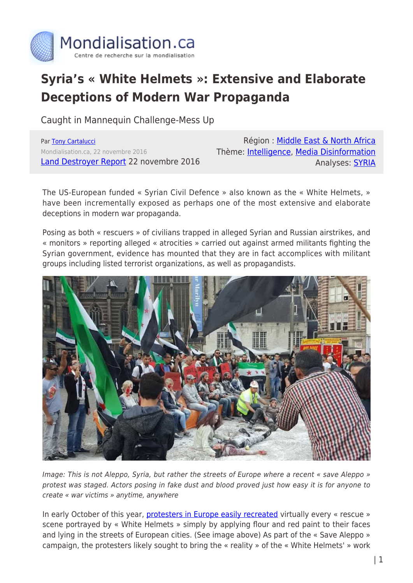

## **Syria's « White Helmets »: Extensive and Elaborate Deceptions of Modern War Propaganda**

Caught in Mannequin Challenge-Mess Up

Par [Tony Cartalucci](https://www.mondialisation.ca/author/tony-cartalucci) Mondialisation.ca, 22 novembre 2016 [Land Destroyer Report](http://landdestroyer.blogspot.ca/2016/11/syria-white-helmets-caught-in-mannequin.html) 22 novembre 2016

Région : [Middle East & North Africa](https://www.mondialisation.ca/region/middle-east) Thème: [Intelligence](https://www.mondialisation.ca/theme/intelligence), [Media Disinformation](https://www.mondialisation.ca/theme/media-disinformation) Analyses: [SYRIA](https://www.mondialisation.ca/indepthreport/syria-nato-s-next-war)

The US-European funded « Syrian Civil Defence » also known as the « White Helmets, » have been incrementally exposed as perhaps one of the most extensive and elaborate deceptions in modern war propaganda.

Posing as both « rescuers » of civilians trapped in alleged Syrian and Russian airstrikes, and « monitors » reporting alleged « atrocities » carried out against armed militants fighting the Syrian government, evidence has mounted that they are in fact accomplices with militant groups including listed terrorist organizations, as well as propagandists.



Image: This is not Aleppo, Syria, but rather the streets of Europe where a recent « save Aleppo » protest was staged. Actors posing in fake dust and blood proved just how easy it is for anyone to create « war victims » anytime, anywhere

In early October of this year, [protesters in Europe easily recreated](http://landdestroyer.blogspot.com/2016/10/white-helmet-save-aleppo-protest-proves.html) virtually every « rescue » scene portrayed by « White Helmets » simply by applying flour and red paint to their faces and lying in the streets of European cities. (See image above) As part of the « Save Aleppo » campaign, the protesters likely sought to bring the « reality » of the « White Helmets' » work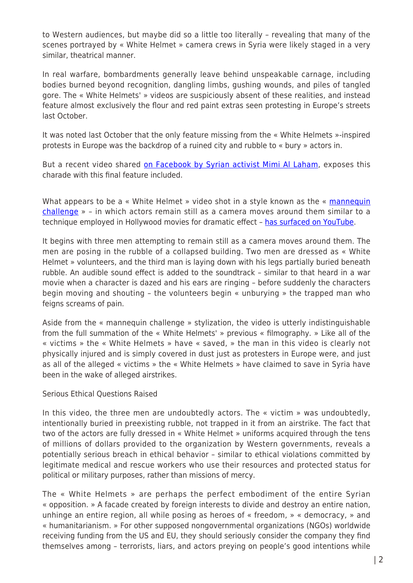to Western audiences, but maybe did so a little too literally – revealing that many of the scenes portrayed by « White Helmet » camera crews in Syria were likely staged in a very similar, theatrical manner.

In real warfare, bombardments generally leave behind unspeakable carnage, including bodies burned beyond recognition, dangling limbs, gushing wounds, and piles of tangled gore. The « White Helmets' » videos are suspiciously absent of these realities, and instead feature almost exclusively the flour and red paint extras seen protesting in Europe's streets last October.

It was noted last October that the only feature missing from the « White Helmets »-inspired protests in Europe was the backdrop of a ruined city and rubble to « bury » actors in.

But a recent video shared [on Facebook by Syrian activist Mimi Al Laham,](https://www.facebook.com/partisangirl/videos/vb.100003598729905/929662253830390/?type=2&theater) exposes this charade with this final feature included.

What appears to be a « White Helmet » video shot in a style known as the « [mannequin](https://en.wikipedia.org/wiki/Mannequin_Challenge) [challenge](https://en.wikipedia.org/wiki/Mannequin_Challenge) » – in which actors remain still as a camera moves around them similar to a technique employed in Hollywood movies for dramatic effect - [has surfaced on YouTube](https://www.youtube.com/watch?v=9rOL7fYyRQo).

It begins with three men attempting to remain still as a camera moves around them. The men are posing in the rubble of a collapsed building. Two men are dressed as « White Helmet » volunteers, and the third man is laying down with his legs partially buried beneath rubble. An audible sound effect is added to the soundtrack – similar to that heard in a war movie when a character is dazed and his ears are ringing – before suddenly the characters begin moving and shouting – the volunteers begin « unburying » the trapped man who feigns screams of pain.

Aside from the « mannequin challenge » stylization, the video is utterly indistinguishable from the full summation of the « White Helmets' » previous « filmography. » Like all of the « victims » the « White Helmets » have « saved, » the man in this video is clearly not physically injured and is simply covered in dust just as protesters in Europe were, and just as all of the alleged « victims » the « White Helmets » have claimed to save in Syria have been in the wake of alleged airstrikes.

## Serious Ethical Questions Raised

In this video, the three men are undoubtedly actors. The « victim » was undoubtedly, intentionally buried in preexisting rubble, not trapped in it from an airstrike. The fact that two of the actors are fully dressed in « White Helmet » uniforms acquired through the tens of millions of dollars provided to the organization by Western governments, reveals a potentially serious breach in ethical behavior – similar to ethical violations committed by legitimate medical and rescue workers who use their resources and protected status for political or military purposes, rather than missions of mercy.

The « White Helmets » are perhaps the perfect embodiment of the entire Syrian « opposition. » A facade created by foreign interests to divide and destroy an entire nation, unhinge an entire region, all while posing as heroes of « freedom, » « democracy, » and « humanitarianism. » For other supposed nongovernmental organizations (NGOs) worldwide receiving funding from the US and EU, they should seriously consider the company they find themselves among – terrorists, liars, and actors preying on people's good intentions while